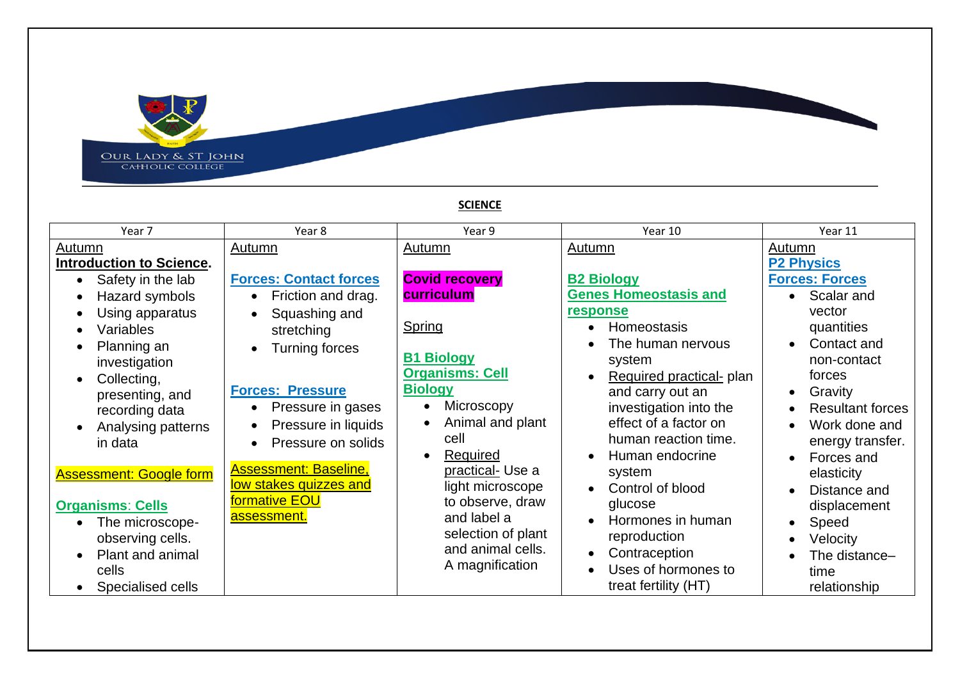

## **SCIENCE**

| Year 7                          | Year 8                        | Year 9                 | Year 10                      | Year 11                 |
|---------------------------------|-------------------------------|------------------------|------------------------------|-------------------------|
| Autumn                          | Autumn                        | Autumn                 | Autumn                       | <b>Autumn</b>           |
| <b>Introduction to Science.</b> |                               |                        |                              | <b>P2 Physics</b>       |
| Safety in the lab               | <b>Forces: Contact forces</b> | <b>Covid recovery</b>  | <b>B2 Biology</b>            | <b>Forces: Forces</b>   |
| Hazard symbols                  | Friction and drag.            | curriculum             | <b>Genes Homeostasis and</b> | Scalar and              |
| Using apparatus                 | Squashing and                 |                        | response                     | vector                  |
| Variables                       | stretching                    | Spring                 | Homeostasis                  | quantities              |
| Planning an                     | <b>Turning forces</b>         |                        | The human nervous            | Contact and             |
| investigation                   |                               | <b>B1 Biology</b>      | system                       | non-contact             |
| Collecting,                     |                               | <b>Organisms: Cell</b> | Required practical- plan     | forces                  |
| presenting, and                 | <b>Forces: Pressure</b>       | <b>Biology</b>         | and carry out an             | Gravity<br>$\bullet$    |
| recording data                  | Pressure in gases             | Microscopy             | investigation into the       | <b>Resultant forces</b> |
| Analysing patterns              | Pressure in liquids           | Animal and plant       | effect of a factor on        | Work done and           |
| in data                         | Pressure on solids            | cell                   | human reaction time.         | energy transfer.        |
|                                 |                               | Required<br>$\bullet$  | Human endocrine              | Forces and              |
| <b>Assessment: Google form</b>  | <b>Assessment: Baseline,</b>  | practical- Use a       | system                       | elasticity              |
|                                 | low stakes quizzes and        | light microscope       | Control of blood             | Distance and            |
| <b>Organisms: Cells</b>         | <u>formative EOU</u>          | to observe, draw       | glucose                      | displacement            |
| The microscope-                 | assessment.                   | and label a            | Hormones in human            | Speed                   |
| observing cells.                |                               | selection of plant     | reproduction                 | Velocity                |
| Plant and animal                |                               | and animal cells.      | Contraception<br>$\bullet$   | The distance-           |
| cells                           |                               | A magnification        | Uses of hormones to          | time                    |
| Specialised cells               |                               |                        | treat fertility (HT)         | relationship            |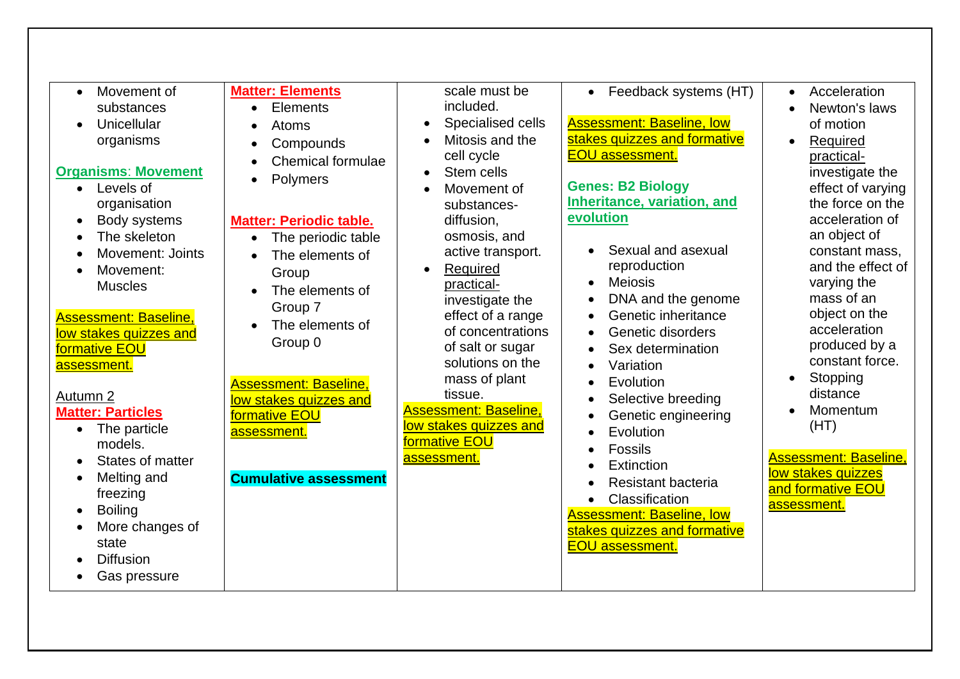| Movement of<br>$\bullet$<br>substances<br>Unicellular<br>$\bullet$<br>organisms<br><b>Organisms: Movement</b><br>Levels of<br>$\bullet$<br>organisation<br>Body systems<br>$\bullet$<br>The skeleton<br>$\bullet$<br><b>Movement: Joints</b><br>Movement:<br>$\bullet$<br><b>Muscles</b><br><b>Assessment: Baseline,</b><br>low stakes quizzes and<br>formative EOU<br>assessment.<br>Autumn 2<br><b>Matter: Particles</b><br>The particle<br>$\bullet$<br>models.<br>States of matter<br>Melting and<br>$\bullet$<br>freezing<br><b>Boiling</b><br>$\bullet$<br>More changes of<br>$\bullet$<br>state<br><b>Diffusion</b><br>Gas pressure<br>٠ | <b>Matter: Elements</b><br>Elements<br>$\bullet$<br>Atoms<br>Compounds<br>$\bullet$<br><b>Chemical formulae</b><br>Polymers<br>$\bullet$<br><b>Matter: Periodic table.</b><br>The periodic table<br>$\bullet$<br>The elements of<br>$\bullet$<br>Group<br>The elements of<br>$\bullet$<br>Group 7<br>The elements of<br>$\bullet$<br>Group 0<br><b>Assessment: Baseline,</b><br>low stakes quizzes and<br>formative EOU<br>assessment.<br><b>Cumulative assessment</b> | scale must be<br>included.<br>Specialised cells<br>Mitosis and the<br>cell cycle<br>Stem cells<br>$\bullet$<br>Movement of<br>substances-<br>diffusion,<br>osmosis, and<br>active transport.<br>Required<br>practical-<br>investigate the<br>effect of a range<br>of concentrations<br>of salt or sugar<br>solutions on the<br>mass of plant<br>tissue.<br><b>Assessment: Baseline,</b><br>low stakes quizzes and<br>formative EOU<br>assessment. | Feedback systems (HT)<br>$\bullet$<br><b>Assessment: Baseline, low</b><br>stakes quizzes and formative<br><b>EOU assessment.</b><br><b>Genes: B2 Biology</b><br>Inheritance, variation, and<br>evolution<br>Sexual and asexual<br>reproduction<br><b>Meiosis</b><br>$\bullet$<br>DNA and the genome<br>Genetic inheritance<br>Genetic disorders<br>Sex determination<br>Variation<br>Evolution<br>Selective breeding<br>Genetic engineering<br>Evolution<br><b>Fossils</b><br>Extinction<br>Resistant bacteria<br>Classification<br>$\bullet$<br><b>Assessment: Baseline, low</b><br>stakes quizzes and formative<br><b>EOU</b> assessment. | Acceleration<br>$\bullet$<br>Newton's laws<br>of motion<br>Required<br>practical-<br>investigate the<br>effect of varying<br>the force on the<br>acceleration of<br>an object of<br>constant mass,<br>and the effect of<br>varying the<br>mass of an<br>object on the<br>acceleration<br>produced by a<br>constant force.<br>Stopping<br>distance<br>Momentum<br>(HT)<br><b>Assessment: Baseline,</b><br>low stakes quizzes<br>and formative EOU<br>assessment. |
|-------------------------------------------------------------------------------------------------------------------------------------------------------------------------------------------------------------------------------------------------------------------------------------------------------------------------------------------------------------------------------------------------------------------------------------------------------------------------------------------------------------------------------------------------------------------------------------------------------------------------------------------------|------------------------------------------------------------------------------------------------------------------------------------------------------------------------------------------------------------------------------------------------------------------------------------------------------------------------------------------------------------------------------------------------------------------------------------------------------------------------|---------------------------------------------------------------------------------------------------------------------------------------------------------------------------------------------------------------------------------------------------------------------------------------------------------------------------------------------------------------------------------------------------------------------------------------------------|---------------------------------------------------------------------------------------------------------------------------------------------------------------------------------------------------------------------------------------------------------------------------------------------------------------------------------------------------------------------------------------------------------------------------------------------------------------------------------------------------------------------------------------------------------------------------------------------------------------------------------------------|-----------------------------------------------------------------------------------------------------------------------------------------------------------------------------------------------------------------------------------------------------------------------------------------------------------------------------------------------------------------------------------------------------------------------------------------------------------------|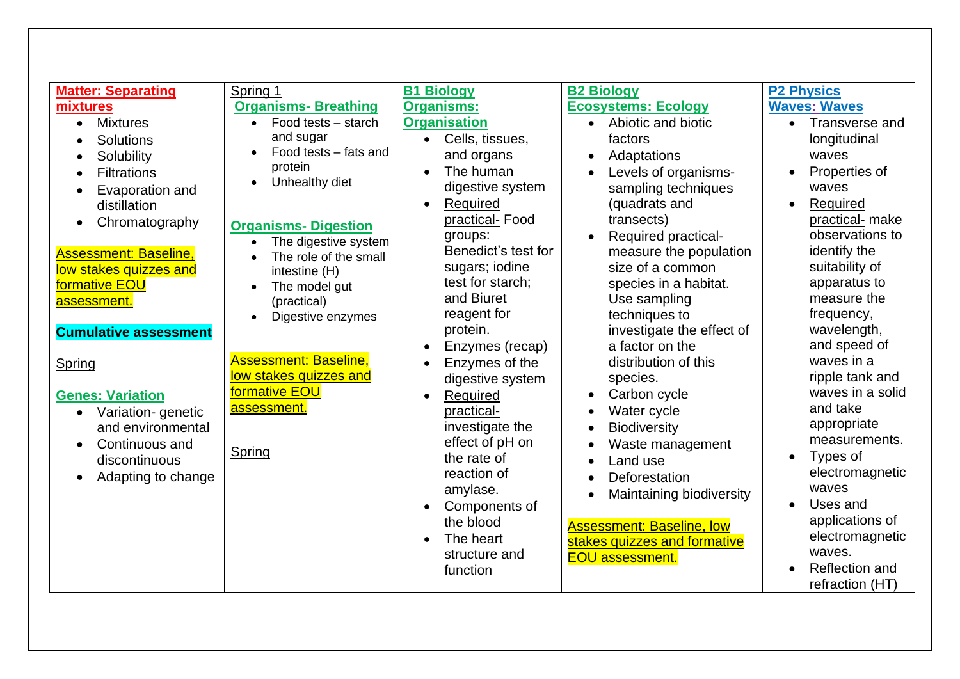| <b>Matter: Separating</b>      | Spring 1                         | <b>B1 Biology</b>            | <b>B2 Biology</b>                       | <b>P2 Physics</b>           |
|--------------------------------|----------------------------------|------------------------------|-----------------------------------------|-----------------------------|
| mixtures                       | <b>Organisms- Breathing</b>      | <b>Organisms:</b>            | <b>Ecosystems: Ecology</b>              | <b>Waves: Waves</b>         |
| <b>Mixtures</b><br>$\bullet$   | Food tests - starch<br>$\bullet$ | <b>Organisation</b>          | Abiotic and biotic<br>$\bullet$         | Transverse and<br>$\bullet$ |
| Solutions                      | and sugar                        | Cells, tissues,<br>$\bullet$ | factors                                 | longitudinal                |
| Solubility                     | Food tests - fats and            | and organs                   | Adaptations                             | waves                       |
| <b>Filtrations</b>             | protein                          | The human                    | Levels of organisms-                    | Properties of               |
| Evaporation and                | Unhealthy diet<br>$\bullet$      | digestive system             | sampling techniques                     | waves                       |
| distillation                   |                                  | Required                     | (quadrats and                           | Required                    |
| Chromatography<br>$\bullet$    | <b>Organisms- Digestion</b>      | practical-Food               | transects)                              | practical- make             |
|                                | The digestive system             | groups:                      | <b>Required practical-</b><br>$\bullet$ | observations to             |
| <b>Assessment: Baseline,</b>   | The role of the small            | Benedict's test for          | measure the population                  | identify the                |
| low stakes quizzes and         | intestine (H)                    | sugars; iodine               | size of a common                        | suitability of              |
| formative EOU                  | The model gut                    | test for starch;             | species in a habitat.                   | apparatus to                |
| <b>assessment.</b>             | (practical)                      | and Biuret                   | Use sampling                            | measure the                 |
|                                | Digestive enzymes                | reagent for                  | techniques to                           | frequency,                  |
| <b>Cumulative assessment</b>   |                                  | protein.                     | investigate the effect of               | wavelength,                 |
|                                |                                  | Enzymes (recap)              | a factor on the                         | and speed of                |
| Spring                         | <b>Assessment: Baseline,</b>     | Enzymes of the               | distribution of this                    | waves in a                  |
|                                | low stakes quizzes and           | digestive system             | species.                                | ripple tank and             |
| <b>Genes: Variation</b>        | formative EOU                    | Required                     | Carbon cycle                            | waves in a solid            |
| Variation-genetic<br>$\bullet$ | assessment.                      | practical-                   | Water cycle                             | and take                    |
| and environmental              |                                  | investigate the              | <b>Biodiversity</b>                     | appropriate                 |
| Continuous and                 | Spring                           | effect of pH on              | Waste management                        | measurements.               |
| discontinuous                  |                                  | the rate of                  | Land use                                | Types of                    |
| Adapting to change             |                                  | reaction of                  | Deforestation                           | electromagnetic             |
|                                |                                  | amylase.                     | Maintaining biodiversity                | waves                       |
|                                |                                  | Components of                |                                         | Uses and                    |
|                                |                                  | the blood                    | <b>Assessment: Baseline, low</b>        | applications of             |
|                                |                                  | The heart                    | stakes guizzes and formative            | electromagnetic             |
|                                |                                  | structure and                | <b>EOU assessment.</b>                  | waves.                      |
|                                |                                  | function                     |                                         | Reflection and              |
|                                |                                  |                              |                                         | refraction (HT)             |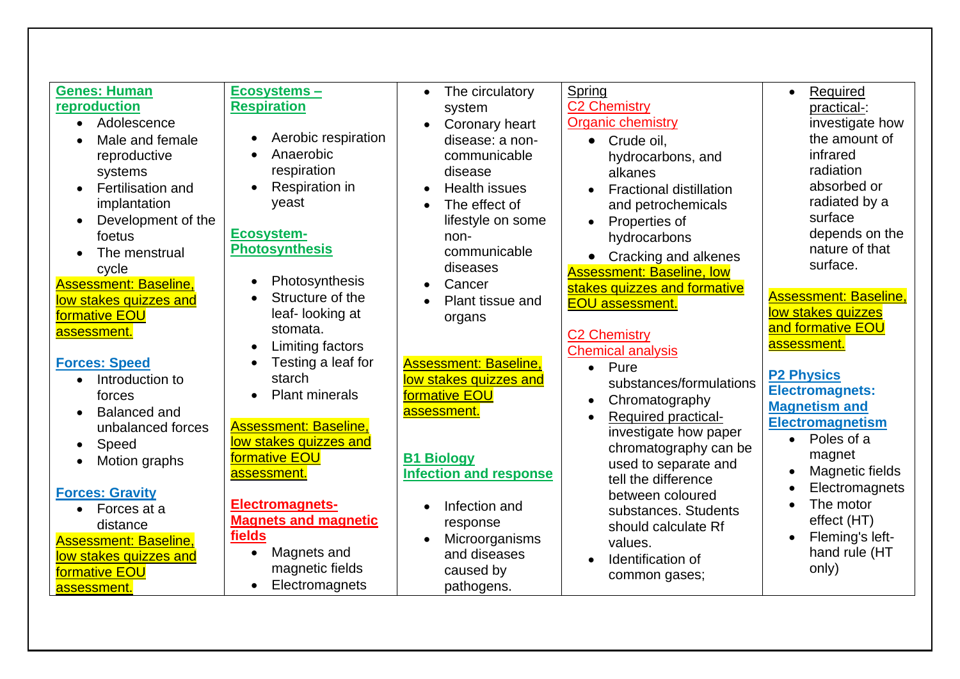| <b>Genes: Human</b>              | Ecosystems-                        | The circulatory<br>$\bullet$  | Spring                                  | Required<br>$\bullet$        |
|----------------------------------|------------------------------------|-------------------------------|-----------------------------------------|------------------------------|
| reproduction                     | <b>Respiration</b>                 | system                        | <b>C2 Chemistry</b>                     | practical-:                  |
| Adolescence<br>$\bullet$         |                                    | Coronary heart                | <b>Organic chemistry</b>                | investigate how              |
| Male and female                  | Aerobic respiration                | disease: a non-               | Crude oil,<br>$\bullet$                 | the amount of                |
| reproductive                     | Anaerobic                          | communicable                  | hydrocarbons, and                       | infrared                     |
| systems                          | respiration                        | disease                       | alkanes                                 | radiation                    |
| Fertilisation and                | Respiration in                     | <b>Health issues</b>          | <b>Fractional distillation</b>          | absorbed or                  |
| implantation                     | yeast                              | The effect of<br>$\bullet$    | and petrochemicals                      | radiated by a                |
| Development of the<br>$\bullet$  |                                    | lifestyle on some             | Properties of                           | surface                      |
| foetus                           | <b>Ecosystem-</b>                  | non-                          | hydrocarbons                            | depends on the               |
| The menstrual<br>$\bullet$       | <b>Photosynthesis</b>              | communicable                  | • Cracking and alkenes                  | nature of that               |
| cycle                            |                                    | diseases                      | <b>Assessment: Baseline, low</b>        | surface.                     |
| <b>Assessment: Baseline,</b>     | Photosynthesis                     | Cancer                        | stakes quizzes and formative            |                              |
| low stakes quizzes and           | Structure of the                   | Plant tissue and              | <b>EOU assessment.</b>                  | <b>Assessment: Baseline,</b> |
| formative EOU                    | leaf-looking at                    | organs                        |                                         | low stakes quizzes           |
| assessment.                      | stomata.                           |                               | <b>C2 Chemistry</b>                     | and formative EOU            |
|                                  | Limiting factors                   |                               | <b>Chemical analysis</b>                | assessment.                  |
| <b>Forces: Speed</b>             | Testing a leaf for                 | <b>Assessment: Baseline,</b>  | Pure<br>$\bullet$                       |                              |
| Introduction to<br>$\bullet$     | starch                             | low stakes quizzes and        | substances/formulations                 | <b>P2 Physics</b>            |
| forces                           | <b>Plant minerals</b><br>$\bullet$ | formative EOU                 | Chromatography                          | <b>Electromagnets:</b>       |
| <b>Balanced and</b><br>$\bullet$ |                                    | assessment.                   | <b>Required practical-</b><br>$\bullet$ | <b>Magnetism and</b>         |
| unbalanced forces                | <b>Assessment: Baseline,</b>       |                               | investigate how paper                   | <b>Electromagnetism</b>      |
| Speed<br>$\bullet$               | low stakes quizzes and             |                               | chromatography can be                   | Poles of a<br>$\bullet$      |
| Motion graphs<br>$\bullet$       | formative EOU                      | <b>B1 Biology</b>             | used to separate and                    | magnet                       |
|                                  | assessment.                        | <b>Infection and response</b> | tell the difference                     | Magnetic fields              |
| <b>Forces: Gravity</b>           |                                    |                               | between coloured                        | Electromagnets               |
| Forces at a<br>$\bullet$         | <b>Electromagnets-</b>             | Infection and<br>$\bullet$    | substances. Students                    | The motor                    |
| distance                         | <b>Magnets and magnetic</b>        | response                      | should calculate Rf                     | effect (HT)                  |
| <b>Assessment: Baseline,</b>     | fields                             | Microorganisms<br>$\bullet$   | values.                                 | Fleming's left-              |
| low stakes quizzes and           | Magnets and<br>$\bullet$           | and diseases                  | Identification of                       | hand rule (HT                |
| formative EOU                    | magnetic fields                    | caused by                     | common gases;                           | only)                        |
| assessment.                      | Electromagnets<br>$\bullet$        | pathogens.                    |                                         |                              |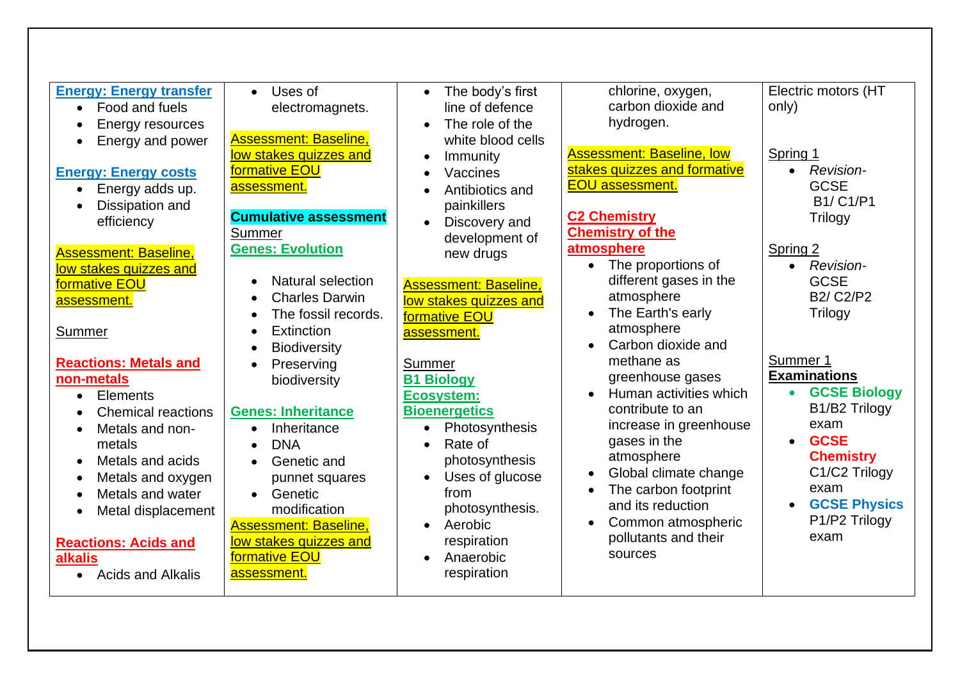| <b>Energy: Energy transfer</b><br>Food and fuels<br>$\bullet$<br>Energy resources<br>Energy and power<br><b>Energy: Energy costs</b><br>Energy adds up.<br>$\bullet$<br>Dissipation and<br>efficiency<br><b>Assessment: Baseline,</b><br>low stakes quizzes and<br>formative EOU<br>assessment.<br>Summer<br><b>Reactions: Metals and</b><br>non-metals<br><b>Elements</b><br>$\bullet$<br><b>Chemical reactions</b><br>Metals and non-<br>metals<br>Metals and acids<br>$\bullet$<br>Metals and oxygen | Uses of<br>$\bullet$<br>electromagnets.<br><b>Assessment: Baseline,</b><br>low stakes quizzes and<br>formative EOU<br>assessment.<br><b>Cumulative assessment</b><br>Summer<br><b>Genes: Evolution</b><br>Natural selection<br><b>Charles Darwin</b><br>The fossil records.<br>Extinction<br><b>Biodiversity</b><br>Preserving<br>$\bullet$<br>biodiversity<br><b>Genes: Inheritance</b><br>Inheritance<br><b>DNA</b><br>Genetic and<br>$\bullet$<br>punnet squares | The body's first<br>$\bullet$<br>line of defence<br>The role of the<br>$\bullet$<br>white blood cells<br>Immunity<br>Vaccines<br>Antibiotics and<br>painkillers<br>Discovery and<br>$\bullet$<br>development of<br>new drugs<br><b>Assessment: Baseline.</b><br>low stakes quizzes and<br>formative EOU<br>assessment.<br>Summer<br><b>B1 Biology</b><br><b>Ecosystem:</b><br><b>Bioenergetics</b><br>Photosynthesis<br>$\bullet$<br>Rate of<br>photosynthesis<br>Uses of glucose<br>$\bullet$ | chlorine, oxygen,<br>carbon dioxide and<br>hydrogen.<br><b>Assessment: Baseline, low</b><br>stakes quizzes and formative<br><b>EOU</b> assessment.<br><b>C2 Chemistry</b><br><b>Chemistry of the</b><br>atmosphere<br>The proportions of<br>different gases in the<br>atmosphere<br>The Earth's early<br>atmosphere<br>Carbon dioxide and<br>$\bullet$<br>methane as<br>greenhouse gases<br>Human activities which<br>contribute to an<br>increase in greenhouse<br>gases in the<br>atmosphere<br>Global climate change | Electric motors (HT<br>only)<br>Spring 1<br><b>Revision-</b><br>$\bullet$<br><b>GCSE</b><br><b>B1/C1/P1</b><br><b>Trilogy</b><br>Spring 2<br>Revision-<br>$\bullet$<br><b>GCSE</b><br><b>B2/ C2/P2</b><br><b>Trilogy</b><br>Summer 1<br><b>Examinations</b><br><b>GCSE Biology</b><br>$\bullet$<br>B1/B2 Trilogy<br>exam<br><b>GCSE</b><br>$\bullet$<br><b>Chemistry</b><br>C1/C2 Trilogy |
|---------------------------------------------------------------------------------------------------------------------------------------------------------------------------------------------------------------------------------------------------------------------------------------------------------------------------------------------------------------------------------------------------------------------------------------------------------------------------------------------------------|---------------------------------------------------------------------------------------------------------------------------------------------------------------------------------------------------------------------------------------------------------------------------------------------------------------------------------------------------------------------------------------------------------------------------------------------------------------------|------------------------------------------------------------------------------------------------------------------------------------------------------------------------------------------------------------------------------------------------------------------------------------------------------------------------------------------------------------------------------------------------------------------------------------------------------------------------------------------------|-------------------------------------------------------------------------------------------------------------------------------------------------------------------------------------------------------------------------------------------------------------------------------------------------------------------------------------------------------------------------------------------------------------------------------------------------------------------------------------------------------------------------|-------------------------------------------------------------------------------------------------------------------------------------------------------------------------------------------------------------------------------------------------------------------------------------------------------------------------------------------------------------------------------------------|
| Metals and water<br>Metal displacement<br><b>Reactions: Acids and</b><br>alkalis<br><b>Acids and Alkalis</b>                                                                                                                                                                                                                                                                                                                                                                                            | Genetic<br>$\bullet$<br>modification<br><b>Assessment: Baseline,</b><br>low stakes quizzes and<br>formative EOU<br>assessment.                                                                                                                                                                                                                                                                                                                                      | from<br>photosynthesis.<br>Aerobic<br>$\bullet$<br>respiration<br>Anaerobic<br>$\bullet$<br>respiration                                                                                                                                                                                                                                                                                                                                                                                        | The carbon footprint<br>and its reduction<br>Common atmospheric<br>pollutants and their<br>sources                                                                                                                                                                                                                                                                                                                                                                                                                      | exam<br><b>GCSE Physics</b><br>P1/P2 Trilogy<br>exam                                                                                                                                                                                                                                                                                                                                      |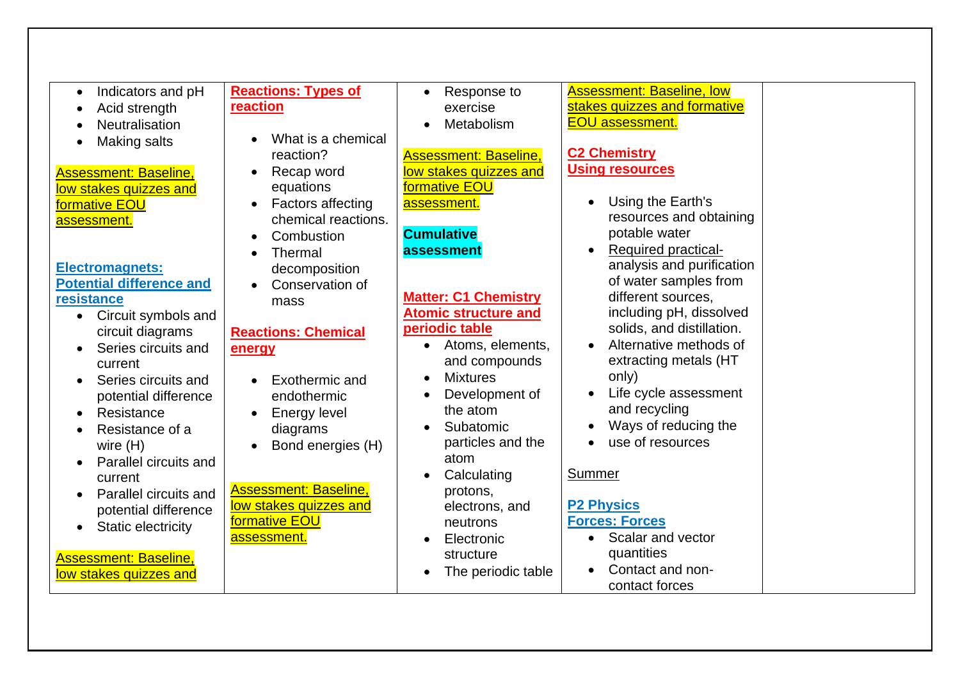| Indicators and pH<br>$\bullet$   | <b>Reactions: Types of</b>   | Response to                   | <b>Assessment: Baseline, low</b> |  |
|----------------------------------|------------------------------|-------------------------------|----------------------------------|--|
| Acid strength                    | reaction                     | exercise                      | stakes quizzes and formative     |  |
| <b>Neutralisation</b>            |                              | Metabolism                    | <b>EOU</b> assessment.           |  |
| Making salts                     | What is a chemical           |                               |                                  |  |
|                                  | reaction?                    | <b>Assessment: Baseline,</b>  | <b>C2 Chemistry</b>              |  |
| <b>Assessment: Baseline,</b>     | Recap word                   | low stakes quizzes and        | <b>Using resources</b>           |  |
| low stakes quizzes and           | equations                    | formative EOU                 |                                  |  |
| formative EOU                    | <b>Factors affecting</b>     | assessment.                   | Using the Earth's                |  |
| assessment.                      | chemical reactions.          |                               | resources and obtaining          |  |
|                                  | Combustion                   | <b>Cumulative</b>             | potable water                    |  |
|                                  | Thermal                      | assessment                    | <b>Required practical-</b>       |  |
| <b>Electromagnets:</b>           | decomposition                |                               | analysis and purification        |  |
| <b>Potential difference and</b>  | Conservation of              |                               | of water samples from            |  |
| resistance                       | mass                         | <b>Matter: C1 Chemistry</b>   | different sources,               |  |
| Circuit symbols and<br>$\bullet$ |                              | <b>Atomic structure and</b>   | including pH, dissolved          |  |
| circuit diagrams                 | <b>Reactions: Chemical</b>   | periodic table                | solids, and distillation.        |  |
| Series circuits and              | energy                       | Atoms, elements,<br>$\bullet$ | Alternative methods of           |  |
| current                          |                              | and compounds                 | extracting metals (HT            |  |
| Series circuits and              | Exothermic and               | <b>Mixtures</b>               | only)                            |  |
| potential difference             | endothermic                  | Development of                | Life cycle assessment            |  |
| Resistance                       | <b>Energy level</b>          | the atom                      | and recycling                    |  |
| Resistance of a                  | diagrams                     | Subatomic                     | Ways of reducing the             |  |
| wire $(H)$                       | Bond energies (H)            | particles and the             | use of resources                 |  |
| Parallel circuits and            |                              | atom                          |                                  |  |
| current                          |                              | Calculating                   | Summer                           |  |
| Parallel circuits and            | <b>Assessment: Baseline,</b> | protons,                      |                                  |  |
| potential difference             | low stakes quizzes and       | electrons, and                | <b>P2 Physics</b>                |  |
| <b>Static electricity</b>        | formative EOU                | neutrons                      | <b>Forces: Forces</b>            |  |
|                                  | assessment.                  | Electronic                    | Scalar and vector                |  |
| <b>Assessment: Baseline,</b>     |                              | structure                     | quantities                       |  |
| low stakes quizzes and           |                              | The periodic table            | Contact and non-                 |  |
|                                  |                              |                               | contact forces                   |  |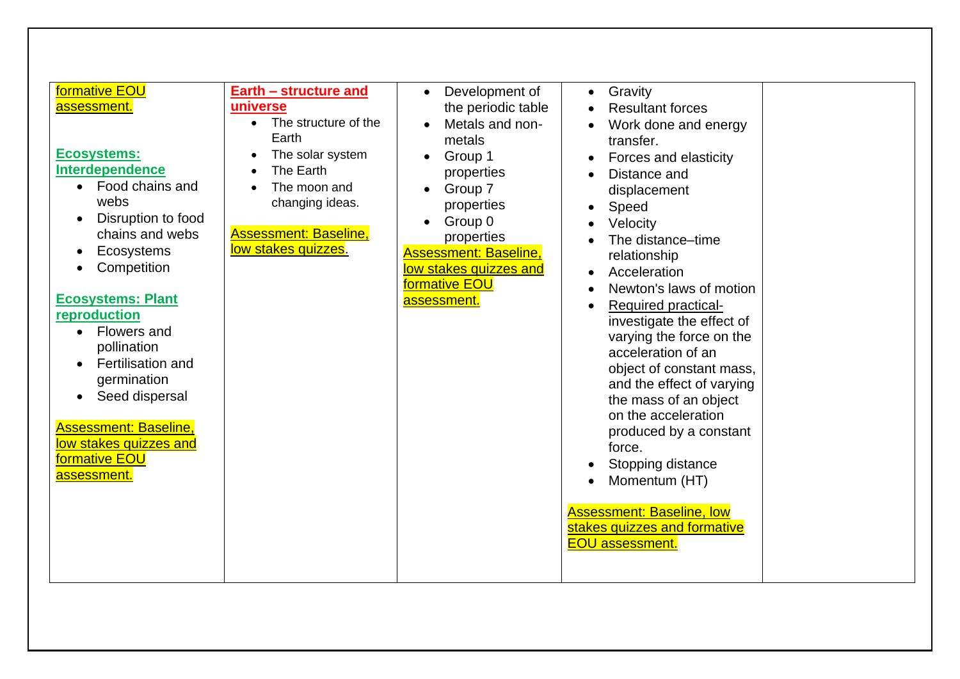| formative EOU<br>Earth - structure and<br>universe<br>assessment.<br>• The structure of the<br>Earth<br><b>Ecosystems:</b><br>The solar system<br><b>Interdependence</b><br>The Earth<br>Food chains and<br>The moon and<br>$\bullet$<br>webs<br>changing ideas.<br>Disruption to food<br><b>Assessment: Baseline,</b><br>chains and webs<br>low stakes quizzes.<br>Ecosystems<br>Competition<br><b>Ecosystems: Plant</b><br>reproduction<br>Flowers and<br>$\bullet$<br>pollination<br><b>Fertilisation and</b><br>germination<br>Seed dispersal<br><b>Assessment: Baseline,</b><br>low stakes quizzes and<br>formative EOU<br><u>assessment.</u> | Development of<br>$\bullet$<br>the periodic table<br>Metals and non-<br>metals<br>Group 1<br>properties<br>Group 7<br>properties<br>Group 0<br>properties<br><b>Assessment: Baseline,</b><br>low stakes quizzes and<br>formative EOU<br>assessment. | Gravity<br>$\bullet$<br><b>Resultant forces</b><br>Work done and energy<br>transfer.<br>Forces and elasticity<br>Distance and<br>displacement<br>Speed<br>Velocity<br>The distance-time<br>relationship<br>Acceleration<br>Newton's laws of motion<br>Required practical-<br>investigate the effect of<br>varying the force on the<br>acceleration of an<br>object of constant mass,<br>and the effect of varying<br>the mass of an object<br>on the acceleration<br>produced by a constant<br>force.<br>Stopping distance<br>Momentum (HT)<br><b>Assessment: Baseline, low</b><br>stakes quizzes and formative<br><b>EOU</b> assessment. |  |
|----------------------------------------------------------------------------------------------------------------------------------------------------------------------------------------------------------------------------------------------------------------------------------------------------------------------------------------------------------------------------------------------------------------------------------------------------------------------------------------------------------------------------------------------------------------------------------------------------------------------------------------------------|-----------------------------------------------------------------------------------------------------------------------------------------------------------------------------------------------------------------------------------------------------|-------------------------------------------------------------------------------------------------------------------------------------------------------------------------------------------------------------------------------------------------------------------------------------------------------------------------------------------------------------------------------------------------------------------------------------------------------------------------------------------------------------------------------------------------------------------------------------------------------------------------------------------|--|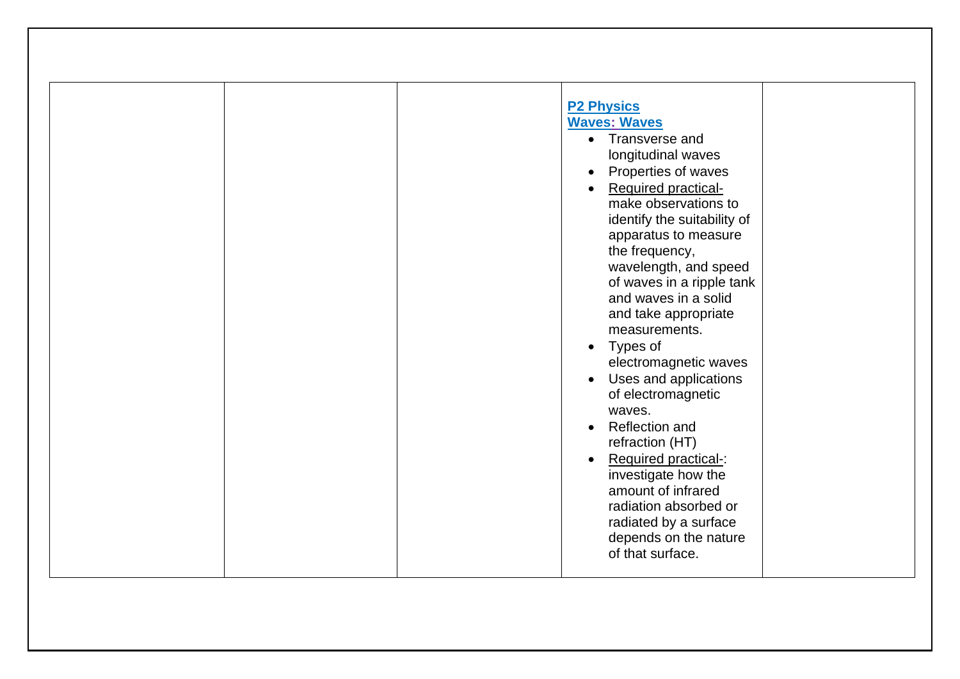| <b>P2 Physics</b><br><b>Waves: Waves</b>            |
|-----------------------------------------------------|
| • Transverse and                                    |
| longitudinal waves                                  |
| Properties of waves                                 |
| <b>Required practical-</b>                          |
| make observations to                                |
| identify the suitability of<br>apparatus to measure |
| the frequency,                                      |
| wavelength, and speed                               |
| of waves in a ripple tank                           |
| and waves in a solid                                |
| and take appropriate<br>measurements.               |
| Types of                                            |
| electromagnetic waves                               |
| Uses and applications                               |
| of electromagnetic                                  |
| waves.<br><b>Reflection and</b>                     |
| refraction (HT)                                     |
| Required practical-:                                |
| investigate how the                                 |
| amount of infrared                                  |
| radiation absorbed or<br>radiated by a surface      |
| depends on the nature                               |
| of that surface.                                    |
|                                                     |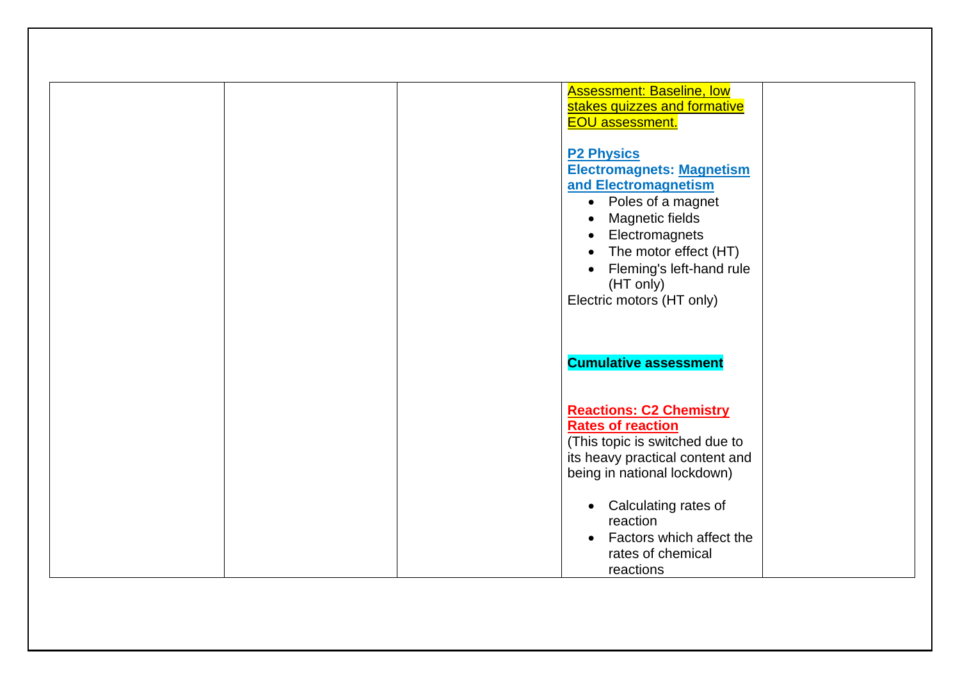| <b>Assessment: Baseline, low</b><br>stakes quizzes and formative<br><b>EOU assessment.</b>                                                                                                                                                                         |
|--------------------------------------------------------------------------------------------------------------------------------------------------------------------------------------------------------------------------------------------------------------------|
| <b>P2 Physics</b><br><b>Electromagnets: Magnetism</b><br>and Electromagnetism<br>• Poles of a magnet<br>Magnetic fields<br>$\bullet$<br>Electromagnets<br>The motor effect (HT)<br>$\bullet$<br>Fleming's left-hand rule<br>(HT only)<br>Electric motors (HT only) |
| <b>Cumulative assessment</b>                                                                                                                                                                                                                                       |
| <b>Reactions: C2 Chemistry</b><br><b>Rates of reaction</b><br>(This topic is switched due to<br>its heavy practical content and<br>being in national lockdown)                                                                                                     |
| • Calculating rates of<br>reaction<br>• Factors which affect the<br>rates of chemical<br>reactions                                                                                                                                                                 |